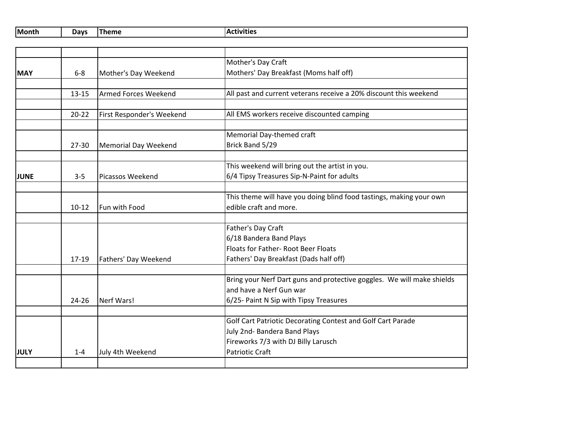| Month | Davr. | . .<br>.<br>™u | tivities<br>$\cdot$ $\sim$ |
|-------|-------|----------------|----------------------------|
|-------|-------|----------------|----------------------------|

|             |           |                           | Mother's Day Craft                                                     |
|-------------|-----------|---------------------------|------------------------------------------------------------------------|
| <b>MAY</b>  | $6-8$     | Mother's Day Weekend      | Mothers' Day Breakfast (Moms half off)                                 |
|             |           |                           |                                                                        |
|             | $13 - 15$ | Armed Forces Weekend      | All past and current veterans receive a 20% discount this weekend      |
|             |           |                           |                                                                        |
|             | $20 - 22$ | First Responder's Weekend | All EMS workers receive discounted camping                             |
|             |           |                           |                                                                        |
|             |           |                           | Memorial Day-themed craft                                              |
|             | $27 - 30$ | Memorial Day Weekend      | Brick Band 5/29                                                        |
|             |           |                           | This weekend will bring out the artist in you.                         |
|             | $3 - 5$   | Picassos Weekend          | 6/4 Tipsy Treasures Sip-N-Paint for adults                             |
| <b>JUNE</b> |           |                           |                                                                        |
|             |           |                           | This theme will have you doing blind food tastings, making your own    |
|             | $10-12$   | <b>Fun with Food</b>      | edible craft and more.                                                 |
|             |           |                           |                                                                        |
|             |           |                           | Father's Day Craft                                                     |
|             |           |                           | 6/18 Bandera Band Plays                                                |
|             |           |                           | Floats for Father- Root Beer Floats                                    |
|             | $17 - 19$ | Fathers' Day Weekend      | Fathers' Day Breakfast (Dads half off)                                 |
|             |           |                           |                                                                        |
|             |           |                           | Bring your Nerf Dart guns and protective goggles. We will make shields |
|             |           |                           | and have a Nerf Gun war                                                |
|             | $24 - 26$ | Nerf Wars!                | 6/25- Paint N Sip with Tipsy Treasures                                 |
|             |           |                           |                                                                        |
|             |           |                           | Golf Cart Patriotic Decorating Contest and Golf Cart Parade            |
|             |           |                           | July 2nd- Bandera Band Plays                                           |
|             |           |                           | Fireworks 7/3 with DJ Billy Larusch                                    |
| <b>JULY</b> | $1 - 4$   | July 4th Weekend          | <b>Patriotic Craft</b>                                                 |
|             |           |                           |                                                                        |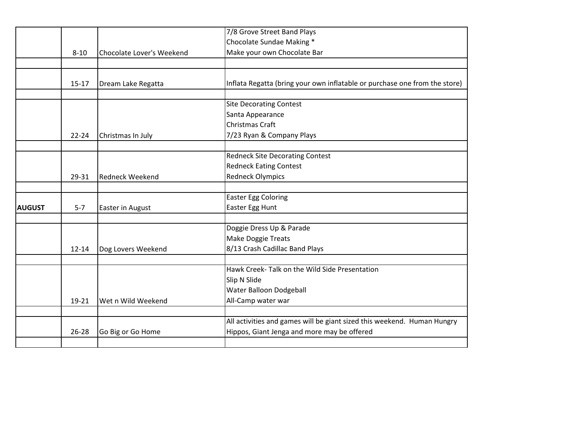|               |                                                                   |                                  | 7/8 Grove Street Band Plays                                                |
|---------------|-------------------------------------------------------------------|----------------------------------|----------------------------------------------------------------------------|
|               |                                                                   |                                  | Chocolate Sundae Making *                                                  |
|               | $8 - 10$                                                          | <b>Chocolate Lover's Weekend</b> | Make your own Chocolate Bar                                                |
|               |                                                                   |                                  |                                                                            |
|               |                                                                   |                                  |                                                                            |
|               | $15 - 17$                                                         | Dream Lake Regatta               | Inflata Regatta (bring your own inflatable or purchase one from the store) |
|               |                                                                   |                                  |                                                                            |
|               |                                                                   |                                  | <b>Site Decorating Contest</b>                                             |
|               |                                                                   |                                  | Santa Appearance                                                           |
|               |                                                                   |                                  | Christmas Craft                                                            |
|               | $22 - 24$                                                         | Christmas In July                | 7/23 Ryan & Company Plays                                                  |
|               |                                                                   |                                  |                                                                            |
|               |                                                                   |                                  | <b>Redneck Site Decorating Contest</b>                                     |
|               |                                                                   |                                  | <b>Redneck Eating Contest</b>                                              |
|               | 29-31                                                             | <b>Redneck Weekend</b>           | <b>Redneck Olympics</b>                                                    |
|               |                                                                   |                                  |                                                                            |
|               |                                                                   |                                  | <b>Easter Egg Coloring</b>                                                 |
| <b>AUGUST</b> | $5-7$                                                             | Easter in August                 | Easter Egg Hunt                                                            |
|               |                                                                   |                                  |                                                                            |
|               |                                                                   |                                  | Doggie Dress Up & Parade                                                   |
|               |                                                                   |                                  | Make Doggie Treats                                                         |
|               | 8/13 Crash Cadillac Band Plays<br>$12 - 14$<br>Dog Lovers Weekend |                                  |                                                                            |
|               |                                                                   |                                  |                                                                            |
|               |                                                                   |                                  | Hawk Creek- Talk on the Wild Side Presentation                             |
|               |                                                                   |                                  | Slip N Slide                                                               |
|               |                                                                   |                                  | Water Balloon Dodgeball                                                    |
|               | 19-21                                                             | Wet n Wild Weekend               | All-Camp water war                                                         |
|               |                                                                   |                                  | All activities and games will be giant sized this weekend. Human Hungry    |
|               |                                                                   |                                  |                                                                            |
|               | 26-28                                                             | Go Big or Go Home                | Hippos, Giant Jenga and more may be offered                                |
|               |                                                                   |                                  |                                                                            |